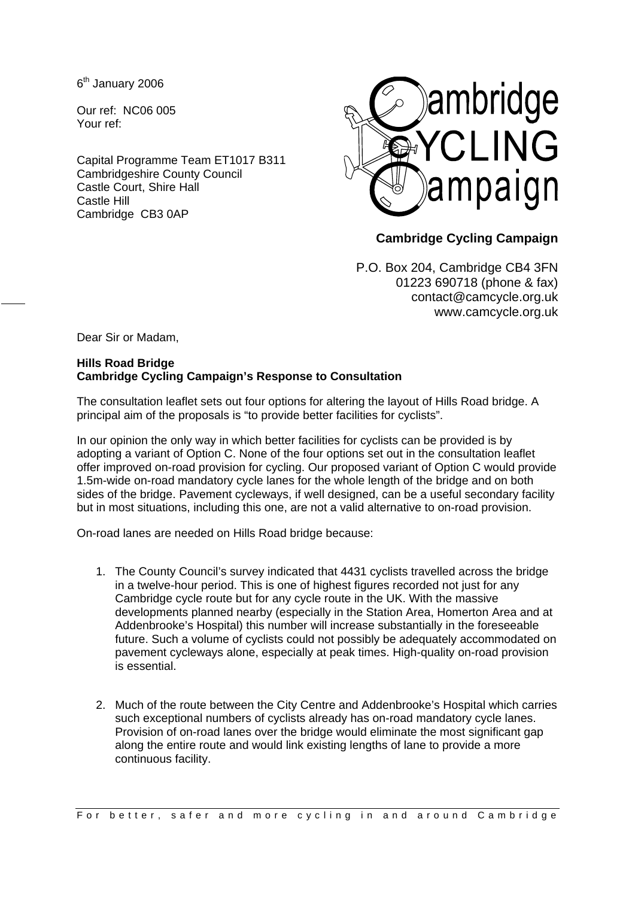6<sup>th</sup> January 2006

Our ref: NC06 005 Your ref:

Capital Programme Team ET1017 B311 Cambridgeshire County Council Castle Court, Shire Hall Castle Hill Cambridge CB3 0AP



## **Cambridge Cycling Campaign**

P.O. Box 204, Cambridge CB4 3FN 01223 690718 (phone & fax) contact@camcycle.org.uk www.camcycle.org.uk

Dear Sir or Madam,

## **Hills Road Bridge Cambridge Cycling Campaign's Response to Consultation**

The consultation leaflet sets out four options for altering the layout of Hills Road bridge. A principal aim of the proposals is "to provide better facilities for cyclists".

In our opinion the only way in which better facilities for cyclists can be provided is by adopting a variant of Option C. None of the four options set out in the consultation leaflet offer improved on-road provision for cycling. Our proposed variant of Option C would provide 1.5m-wide on-road mandatory cycle lanes for the whole length of the bridge and on both sides of the bridge. Pavement cycleways, if well designed, can be a useful secondary facility but in most situations, including this one, are not a valid alternative to on-road provision.

On-road lanes are needed on Hills Road bridge because:

- 1. The County Council's survey indicated that 4431 cyclists travelled across the bridge in a twelve-hour period. This is one of highest figures recorded not just for any Cambridge cycle route but for any cycle route in the UK. With the massive developments planned nearby (especially in the Station Area, Homerton Area and at Addenbrooke's Hospital) this number will increase substantially in the foreseeable future. Such a volume of cyclists could not possibly be adequately accommodated on pavement cycleways alone, especially at peak times. High-quality on-road provision is essential.
- 2. Much of the route between the City Centre and Addenbrooke's Hospital which carries such exceptional numbers of cyclists already has on-road mandatory cycle lanes. Provision of on-road lanes over the bridge would eliminate the most significant gap along the entire route and would link existing lengths of lane to provide a more continuous facility.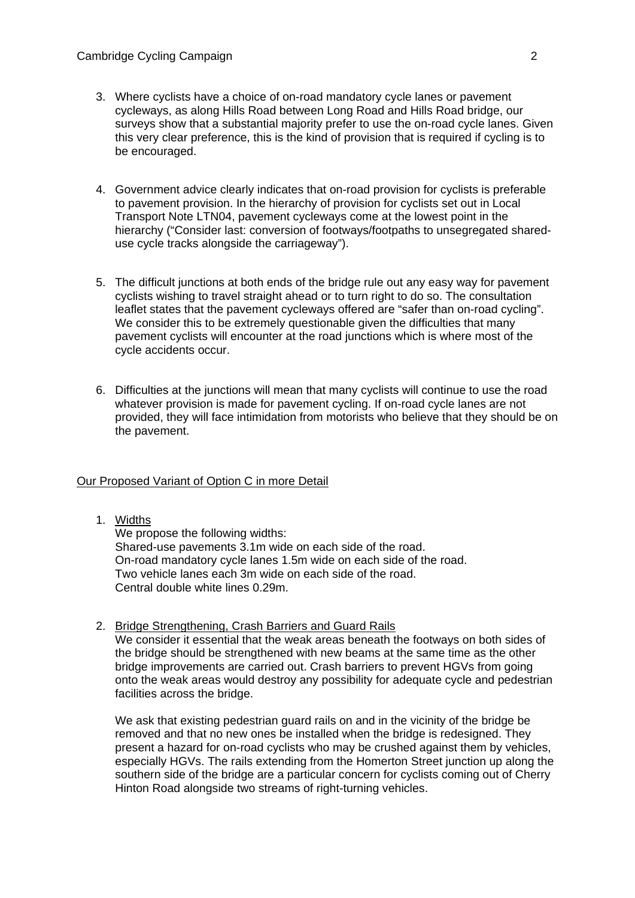- 3. Where cyclists have a choice of on-road mandatory cycle lanes or pavement cycleways, as along Hills Road between Long Road and Hills Road bridge, our surveys show that a substantial majority prefer to use the on-road cycle lanes. Given this very clear preference, this is the kind of provision that is required if cycling is to be encouraged.
- 4. Government advice clearly indicates that on-road provision for cyclists is preferable to pavement provision. In the hierarchy of provision for cyclists set out in Local Transport Note LTN04, pavement cycleways come at the lowest point in the hierarchy ("Consider last: conversion of footways/footpaths to unsegregated shareduse cycle tracks alongside the carriageway").
- 5. The difficult junctions at both ends of the bridge rule out any easy way for pavement cyclists wishing to travel straight ahead or to turn right to do so. The consultation leaflet states that the pavement cycleways offered are "safer than on-road cycling". We consider this to be extremely questionable given the difficulties that many pavement cyclists will encounter at the road junctions which is where most of the cycle accidents occur.
- 6. Difficulties at the junctions will mean that many cyclists will continue to use the road whatever provision is made for pavement cycling. If on-road cycle lanes are not provided, they will face intimidation from motorists who believe that they should be on the pavement.

## Our Proposed Variant of Option C in more Detail

1. Widths

We propose the following widths: Shared-use pavements 3.1m wide on each side of the road. On-road mandatory cycle lanes 1.5m wide on each side of the road. Two vehicle lanes each 3m wide on each side of the road. Central double white lines 0.29m.

2. Bridge Strengthening, Crash Barriers and Guard Rails We consider it essential that the weak areas beneath the footways on both sides of the bridge should be strengthened with new beams at the same time as the other bridge improvements are carried out. Crash barriers to prevent HGVs from going onto the weak areas would destroy any possibility for adequate cycle and pedestrian facilities across the bridge.

We ask that existing pedestrian guard rails on and in the vicinity of the bridge be removed and that no new ones be installed when the bridge is redesigned. They present a hazard for on-road cyclists who may be crushed against them by vehicles, especially HGVs. The rails extending from the Homerton Street junction up along the southern side of the bridge are a particular concern for cyclists coming out of Cherry Hinton Road alongside two streams of right-turning vehicles.